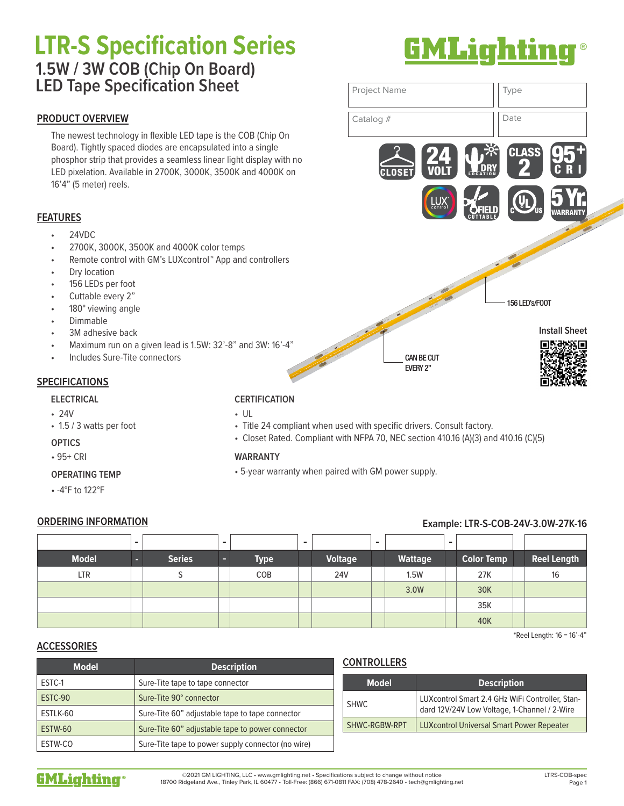# **LTR-S Specification Series** ® **1.5W / 3W COB (Chip On Board) LED Tape Specification Sheet**

# **PRODUCT OVERVIEW**

The newest technology in flexible LED tape is the COB (Chip On Board). Tightly spaced diodes are encapsulated into a single phosphor strip that provides a seamless linear light display with no LED pixelation. Available in 2700K, 3000K, 3500K and 4000K on 16'4" (5 meter) reels.

# **FEATURES**

- 24VDC
- 2700K, 3000K, 3500K and 4000K color temps
- Remote control with GM's LUXcontrol™ App and controllers
- Dry location
- 156 LEDs per foot
- Cuttable every 2"
- 180° viewing angle
- Dimmable
- 3M adhesive back
- Maximum run on a given lead is 1.5W: 32'-8" and 3W: 16'-4"
- Includes Sure-Tite connectors

# **SPECIFICATIONS**

#### **ELECTRICAL**

- 24V
- 1.5 / 3 watts per foot

## **OPTICS**

• 95+ CRI

## **OPERATING TEMP**

• -4°F to 122°F

# **CERTIFICATION**

- UL
- Title 24 compliant when used with specific drivers. Consult factory.
- Closet Rated. Compliant with NFPA 70, NEC section 410.16 (A)(3) and 410.16 (C)(5)

## **WARRANTY**

• 5-year warranty when paired with GM power supply.

# **ORDERING INFORMATION Example: LTR-S-COB-24V-3.0W-27K-16**

|              | - |               | - |             | $\overline{\phantom{0}}$ |                | $\blacksquare$ |                | - |                   |                    |
|--------------|---|---------------|---|-------------|--------------------------|----------------|----------------|----------------|---|-------------------|--------------------|
| <b>Model</b> | n | <b>Series</b> | - | <b>Type</b> |                          | <b>Voltage</b> |                | <b>Wattage</b> |   | <b>Color Temp</b> | <b>Reel Length</b> |
| LTR          |   |               |   | COB         |                          | <b>24V</b>     |                | 1.5W           |   | 27K               | 16                 |
|              |   |               |   |             |                          |                |                | 3.0W           |   | 30K               |                    |
|              |   |               |   |             |                          |                |                |                |   | 35K               |                    |
|              |   |               |   |             |                          |                |                |                |   | 40K               |                    |

\*Reel Length: 16 = 16'-4"

# **ACCESSORIES**

| <b>Model</b> | <b>Description</b>                                 |  |  |  |  |
|--------------|----------------------------------------------------|--|--|--|--|
| ESTC-1       | Sure-Tite tape to tape connector                   |  |  |  |  |
| ESTC-90      | Sure-Tite 90° connector                            |  |  |  |  |
| ESTLK-60     | Sure-Tite 60" adjustable tape to tape connector    |  |  |  |  |
| ESTW-60      | Sure-Tite 60" adjustable tape to power connector   |  |  |  |  |
| ESTW-CO      | Sure-Tite tape to power supply connector (no wire) |  |  |  |  |

# **CONTROLLERS**

| <b>Model</b>  | <b>Description</b>                                                                              |  |  |  |  |
|---------------|-------------------------------------------------------------------------------------------------|--|--|--|--|
| SHWC.         | LUXcontrol Smart 2.4 GHz WiFi Controller, Stan-<br>dard 12V/24V Low Voltage, 1-Channel / 2-Wire |  |  |  |  |
| SHWC-RGBW-RPT | <b>LUXcontrol Universal Smart Power Repeater</b>                                                |  |  |  |  |